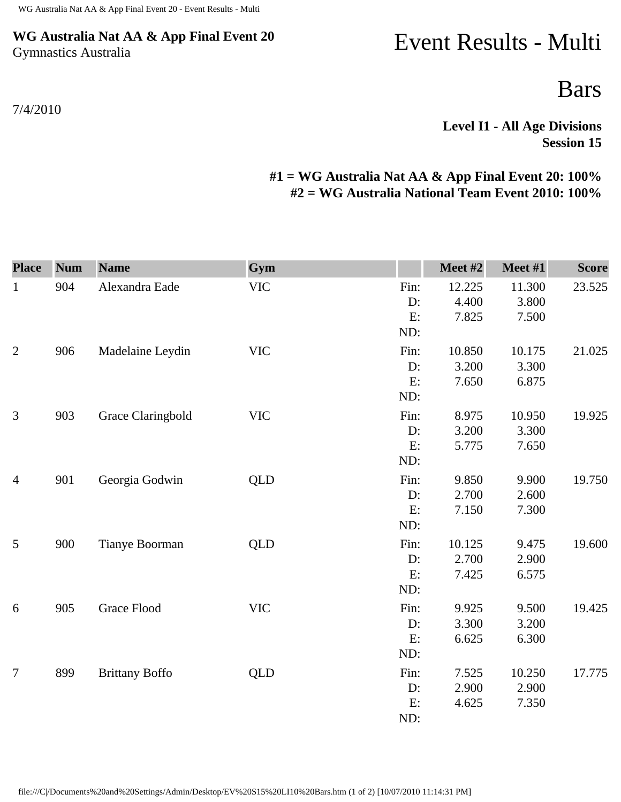## **WG Australia Nat AA & App Final Event 20** Gymnastics Australia

## 7/4/2010

## Event Results - Multi

Bars

**Level I1 - All Age Divisions Session 15** 

## **#1 = WG Australia Nat AA & App Final Event 20: 100% #2 = WG Australia National Team Event 2010: 100%**

| <b>Place</b>   | <b>Num</b> | <b>Name</b>           | Gym        |                         | Meet #2                  | Meet #1                  | <b>Score</b> |
|----------------|------------|-----------------------|------------|-------------------------|--------------------------|--------------------------|--------------|
| $\mathbf{1}$   | 904        | Alexandra Eade        | <b>VIC</b> | Fin:<br>D:<br>E:<br>ND: | 12.225<br>4.400<br>7.825 | 11.300<br>3.800<br>7.500 | 23.525       |
| $\overline{2}$ | 906        | Madelaine Leydin      | <b>VIC</b> | Fin:<br>D:<br>E:<br>ND: | 10.850<br>3.200<br>7.650 | 10.175<br>3.300<br>6.875 | 21.025       |
| $\mathfrak{Z}$ | 903        | Grace Claringbold     | <b>VIC</b> | Fin:<br>D:<br>E:<br>ND: | 8.975<br>3.200<br>5.775  | 10.950<br>3.300<br>7.650 | 19.925       |
| $\overline{4}$ | 901        | Georgia Godwin        | <b>QLD</b> | Fin:<br>D:<br>E:<br>ND: | 9.850<br>2.700<br>7.150  | 9.900<br>2.600<br>7.300  | 19.750       |
| 5              | 900        | Tianye Boorman        | <b>QLD</b> | Fin:<br>D:<br>E:<br>ND: | 10.125<br>2.700<br>7.425 | 9.475<br>2.900<br>6.575  | 19.600       |
| 6              | 905        | <b>Grace Flood</b>    | <b>VIC</b> | Fin:<br>D:<br>E:<br>ND: | 9.925<br>3.300<br>6.625  | 9.500<br>3.200<br>6.300  | 19.425       |
| 7              | 899        | <b>Brittany Boffo</b> | <b>QLD</b> | Fin:<br>D:<br>E:<br>ND: | 7.525<br>2.900<br>4.625  | 10.250<br>2.900<br>7.350 | 17.775       |